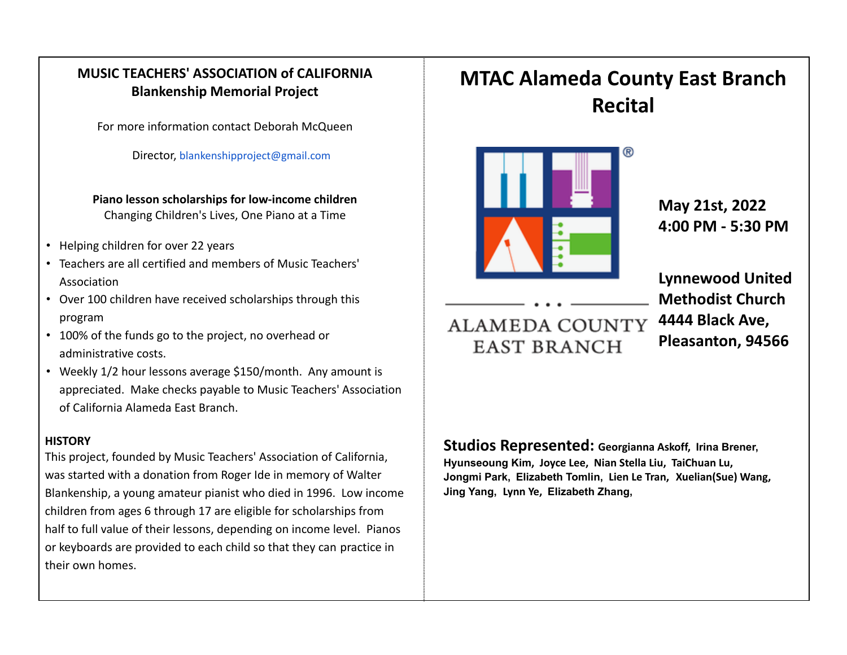## **MUSIC TEACHERS' ASSOCIATION of CALIFORNIA Blankenship Memorial Project**

For more information contact Deborah McQueen

Director, blankenshipproject@gmail.com

**Piano lesson scholarships for low-income children** Changing Children's Lives, One Piano at a Time

- Helping children for over 22 years
- Teachers are all certified and members of Music Teachers' Association
- Over 100 children have received scholarships through this program
- 100% of the funds go to the project, no overhead or administrative costs.
- Weekly 1/2 hour lessons average \$150/month. Any amount is appreciated. Make checks payable to Music Teachers' Association of California Alameda East Branch.

## **HISTORY**

This project, founded by Music Teachers' Association of California, was started with a donation from Roger Ide in memory of Walter Blankenship, a young amateur pianist who died in 1996. Low income children from ages 6 through 17 are eligible for scholarships from half to full value of their lessons, depending on income level. Pianos or keyboards are provided to each child so that they can practice in their own homes.

## **MTAC Alameda County East Branch Recital** ൫ **May 21st, 2022 4:00 PM - 5:30 PM**

## **ALAMEDA COUNTY EAST BRANCH**

**Lynnewood United Methodist Church 4444 Black Ave, Pleasanton, 94566**

**Studios Represented: Georgianna Askoff, Irina Brener, Hyunseoung Kim, Joyce Lee, Nian Stella Liu, TaiChuan Lu, Jongmi Park, Elizabeth Tomlin, Lien Le Tran, Xuelian(Sue) Wang, Jing Yang, Lynn Ye, Elizabeth Zhang,**